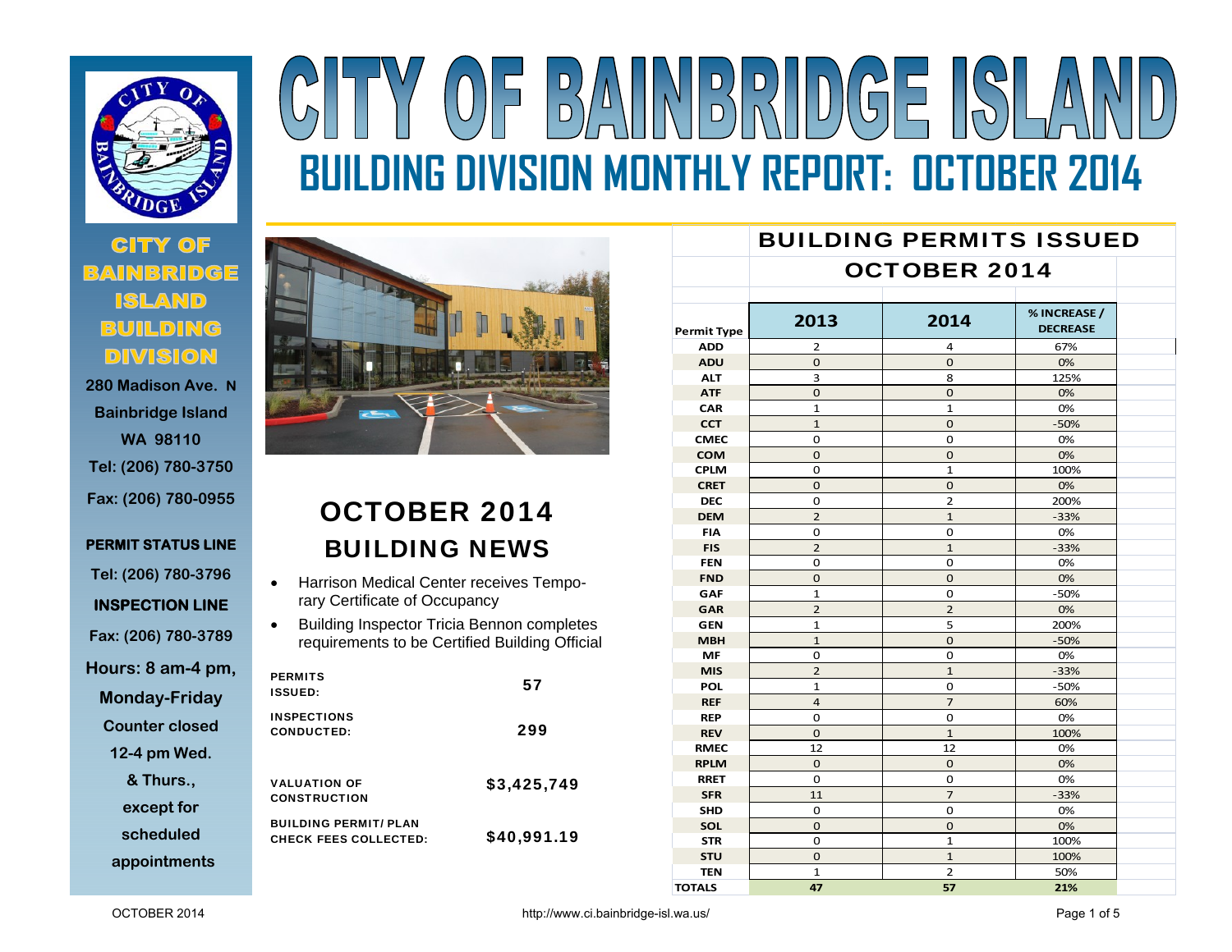

# **280 Madison Ave. N**

**Bainbridge Island WA 98110 Tel: (206) 780-3750 Fax: (206) 780-0955** 

**PERMIT STATUS LINE** 

**Tel: (206) 780-3796** 

**INSPECTION LINE** 

**Fax: (206) 780-3789** 

**Hours: 8 am-4 pm,** 

**Monday-Friday** 

**Counter closed** 

**12-4 pm Wed.** 

**& Thurs.,** 

**except for** 

**scheduled** 

**appointments**



# OCTOBER 2014 BUILDING NEWS

- $\bullet$  Harrison Medical Center receives Temporary Certificate of Occupancy
- $\bullet$  Building Inspector Tricia Bennon completes requirements to be Certified Building Official

| <b>PERMITS</b><br><b>ISSUED:</b>                             | 57          |
|--------------------------------------------------------------|-------------|
| <b>INSPECTIONS</b><br><b>CONDUCTED:</b>                      | 299         |
| <b>VALUATION OF</b><br><b>CONSTRUCTION</b>                   | \$3,425,749 |
| <b>BUILDING PERMIT/ PLAN</b><br><b>CHECK FEES COLLECTED:</b> | \$40,991.19 |

|                    |                     | <b>BUILDING PERMITS ISSUED</b> |                                 |  |  |
|--------------------|---------------------|--------------------------------|---------------------------------|--|--|
|                    | <b>OCTOBER 2014</b> |                                |                                 |  |  |
|                    |                     |                                |                                 |  |  |
| <b>Permit Type</b> | 2013                | 2014                           | % INCREASE /<br><b>DECREASE</b> |  |  |
| <b>ADD</b>         | 2                   | 4                              | 67%                             |  |  |
| <b>ADU</b>         | $\Omega$            | $\mathbf{O}$                   | 0%                              |  |  |
| <b>ALT</b>         | 3                   | 8                              | 125%                            |  |  |
| <b>ATF</b>         | $\Omega$            | $\mathbf{O}$                   | 0%                              |  |  |
| <b>CAR</b>         | $\mathbf{1}$        | $\mathbf{1}$                   | 0%                              |  |  |
| <b>CCT</b>         | $\mathbf{1}$        | $\mathbf 0$                    | $-50%$                          |  |  |
| <b>CMEC</b>        | $\Omega$            | 0                              | 0%                              |  |  |
| <b>COM</b>         | $\Omega$            | $\mathbf{O}$                   | 0%                              |  |  |
| <b>CPLM</b>        | 0                   | $\mathbf{1}$                   | 100%                            |  |  |
| <b>CRET</b>        | $\mathbf 0$         | 0                              | 0%                              |  |  |
| <b>DEC</b>         | 0                   | 2                              | 200%                            |  |  |
| <b>DEM</b>         | $\overline{2}$      | $\mathbf{1}$                   | $-33%$                          |  |  |
| <b>FIA</b>         | 0                   | 0                              | 0%                              |  |  |
| <b>FIS</b>         | $\overline{2}$      | $\mathbf{1}$                   | $-33%$                          |  |  |
| <b>FEN</b>         | $\Omega$            | $\Omega$                       | 0%                              |  |  |
| <b>FND</b>         | $\Omega$            | $\mathbf{O}$                   | 0%                              |  |  |
| <b>GAF</b>         | $\mathbf{1}$        | 0                              | $-50%$                          |  |  |
| GAR                | $\overline{2}$      | $\overline{2}$                 | 0%                              |  |  |
| <b>GEN</b>         | $\mathbf{1}$        | 5                              | 200%                            |  |  |
| <b>MBH</b>         | $\mathbf{1}$        | $\mathbf 0$                    | $-50%$                          |  |  |
| <b>MF</b>          | $\Omega$            | 0                              | 0%                              |  |  |
| <b>MIS</b>         | $\overline{2}$      | $\mathbf{1}$                   | $-33%$                          |  |  |
| <b>POL</b>         | $\mathbf{1}$        | 0                              | $-50%$                          |  |  |
| <b>REF</b>         | $\overline{a}$      | $\overline{7}$                 | 60%                             |  |  |
| <b>REP</b>         | 0                   | 0                              | 0%                              |  |  |
| <b>REV</b>         | $\Omega$            | $\mathbf{1}$                   | 100%                            |  |  |
| <b>RMEC</b>        | 12                  | 12                             | 0%                              |  |  |
| <b>RPLM</b>        | $\Omega$            | $\mathbf 0$                    | 0%                              |  |  |
| <b>RRET</b>        | $\Omega$            | 0                              | 0%                              |  |  |
| <b>SFR</b>         | 11                  | $\overline{7}$                 | $-33%$                          |  |  |
| <b>SHD</b>         | $\Omega$            | 0                              | 0%                              |  |  |
| SOL                | $\Omega$            | $\mathbf 0$                    | 0%                              |  |  |
| <b>STR</b>         | 0                   | 1                              | 100%                            |  |  |
| <b>STU</b>         | $\mathbf 0$         | $\mathbf{1}$                   | 100%                            |  |  |
| <b>TEN</b>         | $\overline{1}$      | $\overline{2}$                 | 50%                             |  |  |
| <b>TOTALS</b>      | 47                  | 57                             | 21%                             |  |  |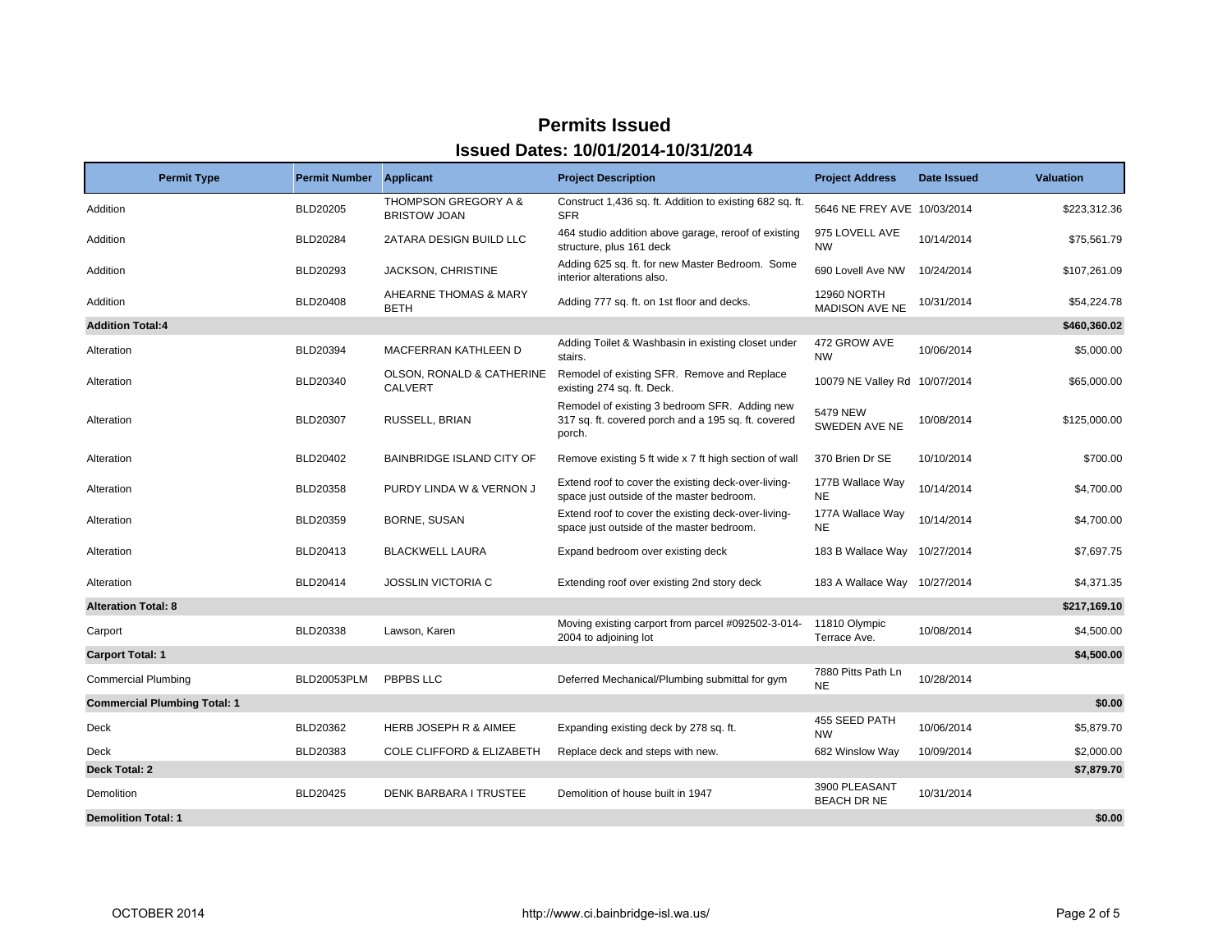| <b>Permit Type</b>                  | <b>Permit Number</b> | <b>Applicant</b>                                       | <b>Project Description</b>                                                                                     | <b>Project Address</b>                      | <b>Date Issued</b> | <b>Valuation</b> |
|-------------------------------------|----------------------|--------------------------------------------------------|----------------------------------------------------------------------------------------------------------------|---------------------------------------------|--------------------|------------------|
| Addition                            | <b>BLD20205</b>      | <b>THOMPSON GREGORY A &amp;</b><br><b>BRISTOW JOAN</b> | Construct 1,436 sq. ft. Addition to existing 682 sq. ft.<br><b>SFR</b>                                         | 5646 NE FREY AVE 10/03/2014                 |                    | \$223,312.36     |
| Addition                            | BLD20284             | 2ATARA DESIGN BUILD LLC                                | 464 studio addition above garage, reroof of existing<br>structure, plus 161 deck                               | 975 LOVELL AVE<br><b>NW</b>                 | 10/14/2014         | \$75,561.79      |
| Addition                            | <b>BLD20293</b>      | <b>JACKSON, CHRISTINE</b>                              | Adding 625 sq. ft. for new Master Bedroom. Some<br>interior alterations also.                                  | 690 Lovell Ave NW                           | 10/24/2014         | \$107,261.09     |
| Addition                            | <b>BLD20408</b>      | AHEARNE THOMAS & MARY<br><b>BETH</b>                   | Adding 777 sq. ft. on 1st floor and decks.                                                                     | <b>12960 NORTH</b><br><b>MADISON AVE NE</b> | 10/31/2014         | \$54,224.78      |
| <b>Addition Total:4</b>             |                      |                                                        |                                                                                                                |                                             |                    | \$460,360.02     |
| Alteration                          | <b>BLD20394</b>      | <b>MACFERRAN KATHLEEN D</b>                            | Adding Toilet & Washbasin in existing closet under<br>stairs.                                                  | 472 GROW AVE<br><b>NW</b>                   | 10/06/2014         | \$5,000.00       |
| Alteration                          | BLD20340             | OLSON, RONALD & CATHERINE<br><b>CALVERT</b>            | Remodel of existing SFR. Remove and Replace<br>existing 274 sq. ft. Deck.                                      | 10079 NE Valley Rd 10/07/2014               |                    | \$65,000.00      |
| Alteration                          | BLD20307             | RUSSELL, BRIAN                                         | Remodel of existing 3 bedroom SFR. Adding new<br>317 sq. ft. covered porch and a 195 sq. ft. covered<br>porch. | 5479 NEW<br>SWEDEN AVE NE                   | 10/08/2014         | \$125,000.00     |
| Alteration                          | <b>BLD20402</b>      | <b>BAINBRIDGE ISLAND CITY OF</b>                       | Remove existing 5 ft wide x 7 ft high section of wall                                                          | 370 Brien Dr SE                             | 10/10/2014         | \$700.00         |
| Alteration                          | BLD20358             | PURDY LINDA W & VERNON J                               | Extend roof to cover the existing deck-over-living-<br>space just outside of the master bedroom.               | 177B Wallace Way<br><b>NE</b>               | 10/14/2014         | \$4,700.00       |
| Alteration                          | BLD20359             | BORNE, SUSAN                                           | Extend roof to cover the existing deck-over-living-<br>space just outside of the master bedroom.               | 177A Wallace Way<br><b>NE</b>               | 10/14/2014         | \$4,700.00       |
| Alteration                          | BLD20413             | <b>BLACKWELL LAURA</b>                                 | Expand bedroom over existing deck                                                                              | 183 B Wallace Way                           | 10/27/2014         | \$7,697.75       |
| Alteration                          | BLD20414             | <b>JOSSLIN VICTORIA C</b>                              | Extending roof over existing 2nd story deck                                                                    | 183 A Wallace Way                           | 10/27/2014         | \$4,371.35       |
| <b>Alteration Total: 8</b>          |                      |                                                        |                                                                                                                |                                             |                    | \$217,169.10     |
| Carport                             | BLD20338             | Lawson, Karen                                          | Moving existing carport from parcel #092502-3-014-<br>2004 to adjoining lot                                    | 11810 Olympic<br>Terrace Ave.               | 10/08/2014         | \$4,500.00       |
| <b>Carport Total: 1</b>             |                      |                                                        |                                                                                                                |                                             |                    | \$4,500.00       |
| <b>Commercial Plumbing</b>          | BLD20053PLM          | PBPBS LLC                                              | Deferred Mechanical/Plumbing submittal for gym                                                                 | 7880 Pitts Path Ln<br><b>NE</b>             | 10/28/2014         |                  |
| <b>Commercial Plumbing Total: 1</b> |                      |                                                        |                                                                                                                |                                             |                    | \$0.00           |
| Deck                                | BLD20362             | HERB JOSEPH R & AIMEE                                  | Expanding existing deck by 278 sq. ft.                                                                         | 455 SEED PATH<br><b>NW</b>                  | 10/06/2014         | \$5,879.70       |
| <b>Deck</b>                         | BLD20383             | <b>COLE CLIFFORD &amp; ELIZABETH</b>                   | Replace deck and steps with new.                                                                               | 682 Winslow Way                             | 10/09/2014         | \$2,000.00       |
| Deck Total: 2                       |                      |                                                        |                                                                                                                |                                             |                    | \$7,879.70       |
| Demolition                          | BLD20425             | <b>DENK BARBARA I TRUSTEE</b>                          | Demolition of house built in 1947                                                                              | 3900 PLEASANT<br><b>BEACH DR NE</b>         | 10/31/2014         |                  |
| <b>Demolition Total: 1</b>          |                      |                                                        |                                                                                                                |                                             |                    | \$0.00           |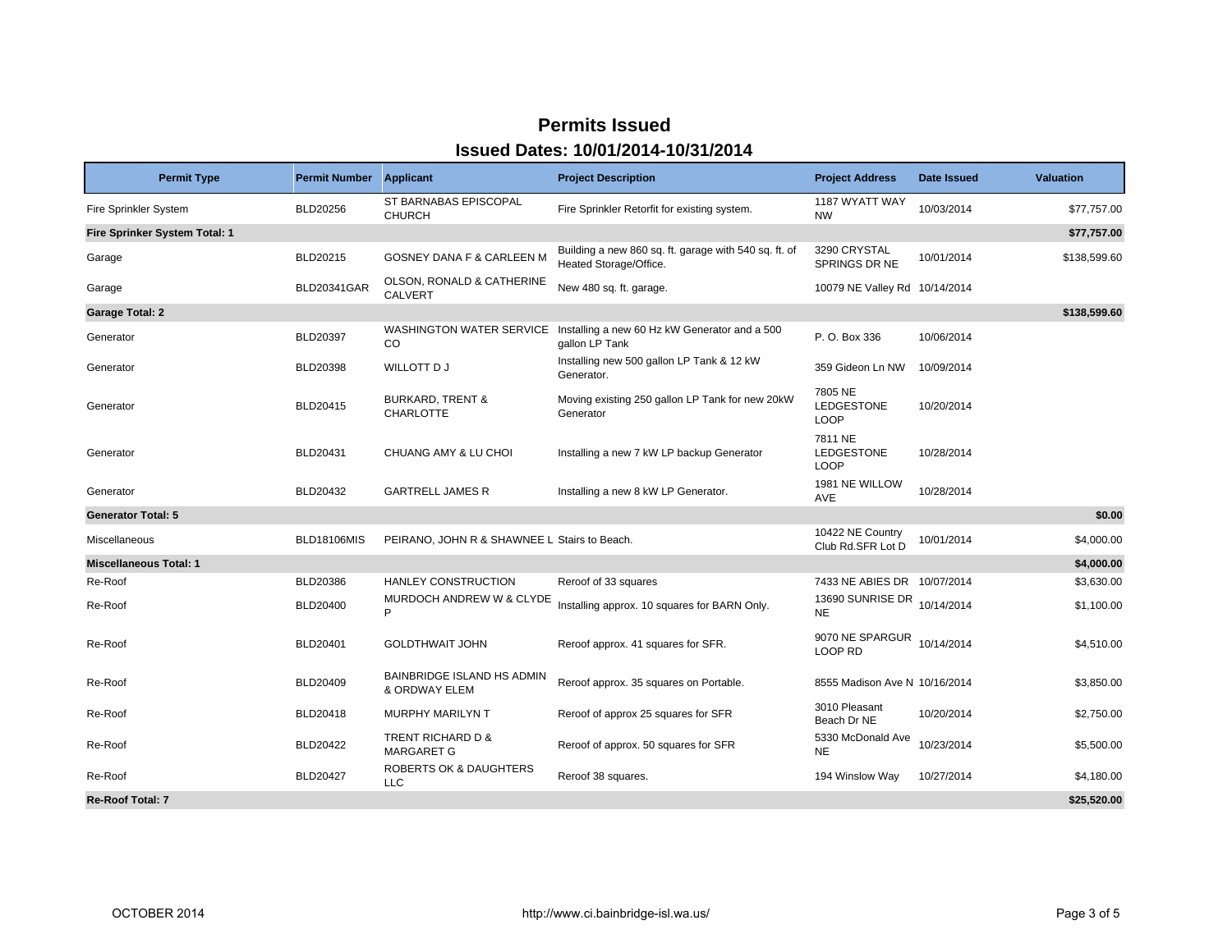| <b>Permit Type</b>            | <b>Permit Number</b> Applicant |                                                 | <b>Project Description</b>                                                               | <b>Project Address</b>                      | Date Issued | <b>Valuation</b> |
|-------------------------------|--------------------------------|-------------------------------------------------|------------------------------------------------------------------------------------------|---------------------------------------------|-------------|------------------|
| <b>Fire Sprinkler System</b>  | BLD20256                       | ST BARNABAS EPISCOPAL<br><b>CHURCH</b>          | Fire Sprinkler Retorfit for existing system.                                             | 1187 WYATT WAY<br><b>NW</b>                 | 10/03/2014  | \$77,757.00      |
| Fire Sprinker System Total: 1 |                                |                                                 |                                                                                          |                                             |             | \$77,757.00      |
| Garage                        | BLD20215                       | <b>GOSNEY DANA F &amp; CARLEEN M</b>            | Building a new 860 sq. ft. garage with 540 sq. ft. of<br>Heated Storage/Office.          | 3290 CRYSTAL<br><b>SPRINGS DR NE</b>        | 10/01/2014  | \$138,599.60     |
| Garage                        | BLD20341GAR                    | OLSON, RONALD & CATHERINE<br><b>CALVERT</b>     | New 480 sq. ft. garage.                                                                  | 10079 NE Valley Rd 10/14/2014               |             |                  |
| <b>Garage Total: 2</b>        |                                |                                                 |                                                                                          |                                             |             | \$138,599.60     |
| Generator                     | BLD20397                       | CO                                              | WASHINGTON WATER SERVICE Installing a new 60 Hz kW Generator and a 500<br>gallon LP Tank | P. O. Box 336                               | 10/06/2014  |                  |
| Generator                     | BLD20398                       | WILLOTT D J                                     | Installing new 500 gallon LP Tank & 12 kW<br>Generator.                                  | 359 Gideon Ln NW                            | 10/09/2014  |                  |
| Generator                     | BLD20415                       | <b>BURKARD, TRENT &amp;</b><br><b>CHARLOTTE</b> | Moving existing 250 gallon LP Tank for new 20kW<br>Generator                             | 7805 NE<br><b>LEDGESTONE</b><br><b>LOOP</b> | 10/20/2014  |                  |
| Generator                     | BLD20431                       | CHUANG AMY & LU CHOI                            | Installing a new 7 kW LP backup Generator                                                | 7811 NE<br>LEDGESTONE<br><b>LOOP</b>        | 10/28/2014  |                  |
| Generator                     | BLD20432                       | <b>GARTRELL JAMES R</b>                         | Installing a new 8 kW LP Generator.                                                      | 1981 NE WILLOW<br>AVE                       | 10/28/2014  |                  |
| <b>Generator Total: 5</b>     |                                |                                                 |                                                                                          |                                             |             | \$0.00           |
| Miscellaneous                 | <b>BLD18106MIS</b>             | PEIRANO, JOHN R & SHAWNEE L Stairs to Beach.    |                                                                                          | 10422 NE Country<br>Club Rd.SFR Lot D       | 10/01/2014  | \$4,000.00       |
| <b>Miscellaneous Total: 1</b> |                                |                                                 |                                                                                          |                                             |             | \$4,000.00       |
| Re-Roof                       | BLD20386                       | HANLEY CONSTRUCTION                             | Reroof of 33 squares                                                                     | 7433 NE ABIES DR 10/07/2014                 |             | \$3,630.00       |
| Re-Roof                       | BLD20400                       | MURDOCH ANDREW W & CLYDE<br>P                   | Installing approx. 10 squares for BARN Only.                                             | 13690 SUNRISE DR<br><b>NE</b>               | 10/14/2014  | \$1,100.00       |
| Re-Roof                       | <b>BLD20401</b>                | <b>GOLDTHWAIT JOHN</b>                          | Reroof approx. 41 squares for SFR.                                                       | 9070 NE SPARGUR<br>LOOP RD                  | 10/14/2014  | \$4,510.00       |
| Re-Roof                       | BLD20409                       | BAINBRIDGE ISLAND HS ADMIN<br>& ORDWAY ELEM     | Reroof approx. 35 squares on Portable.                                                   | 8555 Madison Ave N 10/16/2014               |             | \$3,850.00       |
| Re-Roof                       | BLD20418                       | <b>MURPHY MARILYN T</b>                         | Reroof of approx 25 squares for SFR                                                      | 3010 Pleasant<br>Beach Dr NE                | 10/20/2014  | \$2,750.00       |
| Re-Roof                       | <b>BLD20422</b>                | TRENT RICHARD D &<br><b>MARGARET G</b>          | Reroof of approx. 50 squares for SFR                                                     | 5330 McDonald Ave<br><b>NE</b>              | 10/23/2014  | \$5,500.00       |
| Re-Roof                       | BLD20427                       | <b>ROBERTS OK &amp; DAUGHTERS</b><br><b>LLC</b> | Reroof 38 squares.                                                                       | 194 Winslow Way                             | 10/27/2014  | \$4,180.00       |
| <b>Re-Roof Total: 7</b>       |                                |                                                 |                                                                                          |                                             |             | \$25,520.00      |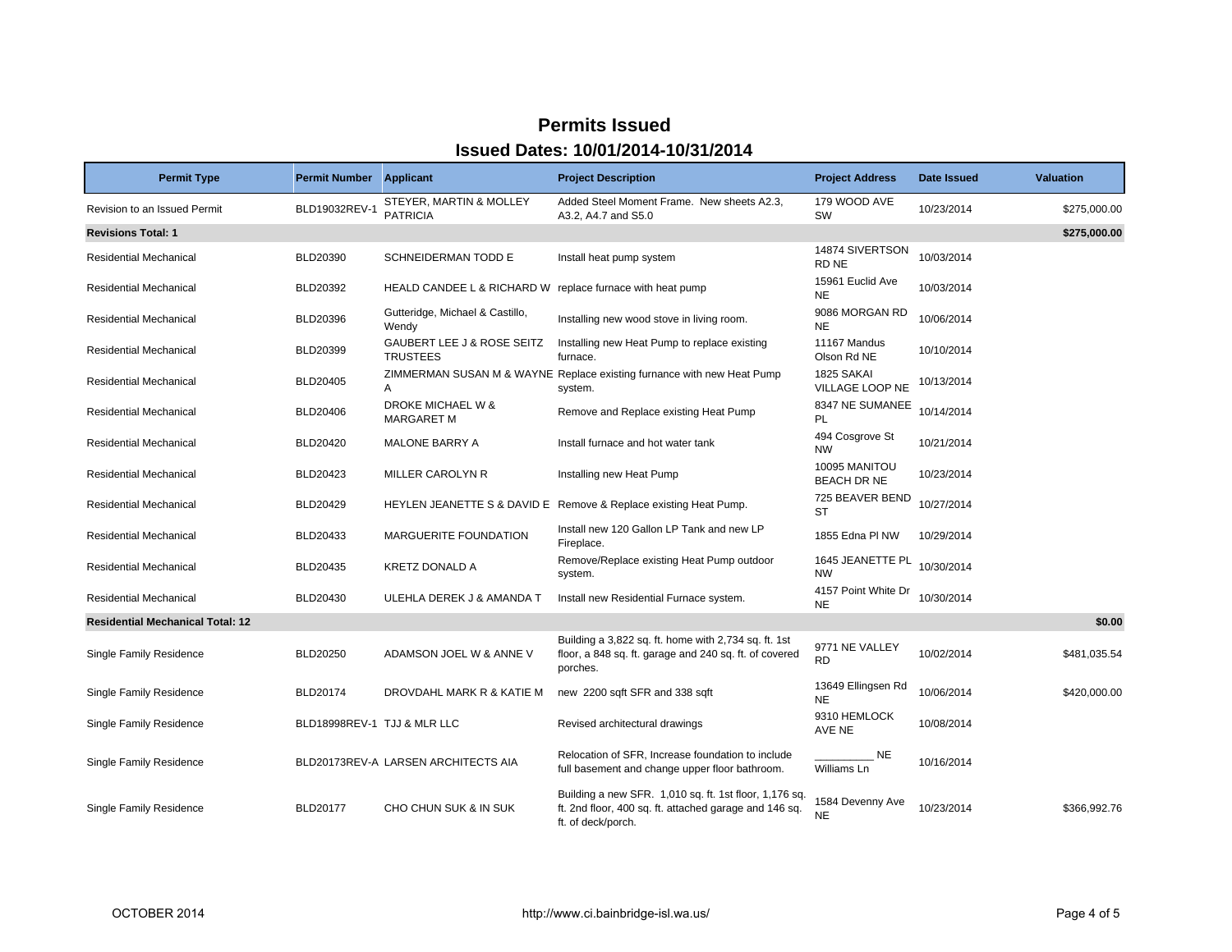| <b>Permit Type</b>                      | <b>Permit Number Applicant</b> |                                                           | <b>Project Description</b>                                                                                                             | <b>Project Address</b>           | Date Issued | <b>Valuation</b> |
|-----------------------------------------|--------------------------------|-----------------------------------------------------------|----------------------------------------------------------------------------------------------------------------------------------------|----------------------------------|-------------|------------------|
| Revision to an Issued Permit            | BLD19032REV-1                  | STEYER, MARTIN & MOLLEY<br><b>PATRICIA</b>                | Added Steel Moment Frame. New sheets A2.3,<br>A3.2, A4.7 and S5.0                                                                      | 179 WOOD AVE<br>SW               | 10/23/2014  | \$275,000.00     |
| <b>Revisions Total: 1</b>               |                                |                                                           |                                                                                                                                        |                                  |             | \$275,000.00     |
| <b>Residential Mechanical</b>           | BLD20390                       | SCHNEIDERMAN TODD E                                       | Install heat pump system                                                                                                               | 14874 SIVERTSON<br>RD NE         | 10/03/2014  |                  |
| <b>Residential Mechanical</b>           | BLD20392                       | HEALD CANDEE L & RICHARD W replace furnace with heat pump |                                                                                                                                        | 15961 Euclid Ave<br><b>NE</b>    | 10/03/2014  |                  |
| <b>Residential Mechanical</b>           | BLD20396                       | Gutteridge, Michael & Castillo,<br>Wendy                  | Installing new wood stove in living room.                                                                                              | 9086 MORGAN RD<br><b>NE</b>      | 10/06/2014  |                  |
| <b>Residential Mechanical</b>           | BLD20399                       | <b>GAUBERT LEE J &amp; ROSE SEITZ</b><br><b>TRUSTEES</b>  | Installing new Heat Pump to replace existing<br>furnace.                                                                               | 11167 Mandus<br>Olson Rd NE      | 10/10/2014  |                  |
| <b>Residential Mechanical</b>           | BLD20405                       | A                                                         | ZIMMERMAN SUSAN M & WAYNE Replace existing furnance with new Heat Pump<br>system.                                                      | 1825 SAKAI<br>VILLAGE LOOP NE    | 10/13/2014  |                  |
| <b>Residential Mechanical</b>           | BLD20406                       | DROKE MICHAEL W &<br><b>MARGARET M</b>                    | Remove and Replace existing Heat Pump                                                                                                  | 8347 NE SUMANEE<br><b>PL</b>     | 10/14/2014  |                  |
| <b>Residential Mechanical</b>           | <b>BLD20420</b>                | MALONE BARRY A                                            | Install furnace and hot water tank                                                                                                     | 494 Cosgrove St<br><b>NW</b>     | 10/21/2014  |                  |
| <b>Residential Mechanical</b>           | BLD20423                       | MILLER CAROLYN R                                          | Installing new Heat Pump                                                                                                               | 10095 MANITOU<br>BEACH DR NE     | 10/23/2014  |                  |
| <b>Residential Mechanical</b>           | BLD20429                       |                                                           | HEYLEN JEANETTE S & DAVID E Remove & Replace existing Heat Pump.                                                                       | 725 BEAVER BEND<br><b>ST</b>     | 10/27/2014  |                  |
| <b>Residential Mechanical</b>           | BLD20433                       | MARGUERITE FOUNDATION                                     | Install new 120 Gallon LP Tank and new LP<br>Fireplace.                                                                                | 1855 Edna PI NW                  | 10/29/2014  |                  |
| Residential Mechanical                  | BLD20435                       | <b>KRETZ DONALD A</b>                                     | Remove/Replace existing Heat Pump outdoor<br>system.                                                                                   | 1645 JEANETTE PL<br><b>NW</b>    | 10/30/2014  |                  |
| Residential Mechanical                  | BLD20430                       | ULEHLA DEREK J & AMANDA T                                 | Install new Residential Furnace system.                                                                                                | 4157 Point White Dr<br><b>NE</b> | 10/30/2014  |                  |
| <b>Residential Mechanical Total: 12</b> |                                |                                                           |                                                                                                                                        |                                  |             | \$0.00           |
| Single Family Residence                 | <b>BLD20250</b>                | ADAMSON JOEL W & ANNE V                                   | Building a 3,822 sq. ft. home with 2,734 sq. ft. 1st<br>floor, a 848 sq. ft. garage and 240 sq. ft. of covered<br>porches.             | 9771 NE VALLEY<br><b>RD</b>      | 10/02/2014  | \$481,035.54     |
| Single Family Residence                 | <b>BLD20174</b>                | DROVDAHL MARK R & KATIE M                                 | new 2200 sqft SFR and 338 sqft                                                                                                         | 13649 Ellingsen Rd<br><b>NE</b>  | 10/06/2014  | \$420,000.00     |
| Single Family Residence                 | BLD18998REV-1 TJJ & MLR LLC    |                                                           | Revised architectural drawings                                                                                                         | 9310 HEMLOCK<br>AVE NE           | 10/08/2014  |                  |
| Single Family Residence                 |                                | BLD20173REV-A LARSEN ARCHITECTS AIA                       | Relocation of SFR, Increase foundation to include<br>full basement and change upper floor bathroom.                                    | <b>NE</b><br>Williams Ln         | 10/16/2014  |                  |
| Single Family Residence                 | <b>BLD20177</b>                | CHO CHUN SUK & IN SUK                                     | Building a new SFR. 1,010 sq. ft. 1st floor, 1,176 sq.<br>ft. 2nd floor, 400 sq. ft. attached garage and 146 sq.<br>ft. of deck/porch. | 1584 Devenny Ave<br><b>NE</b>    | 10/23/2014  | \$366,992.76     |